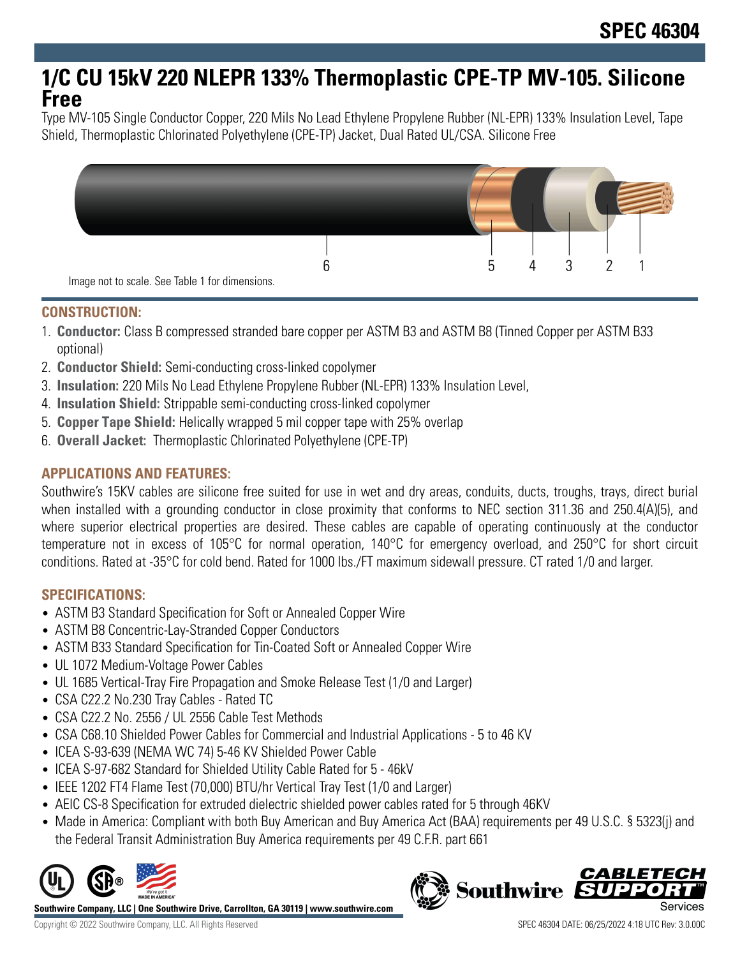# **1/C CU 15kV 220 NLEPR 133% Thermoplastic CPE-TP MV-105. Silicone Free**

Type MV-105 Single Conductor Copper, 220 Mils No Lead Ethylene Propylene Rubber (NL-EPR) 133% Insulation Level, Tape Shield, Thermoplastic Chlorinated Polyethylene (CPE-TP) Jacket, Dual Rated UL/CSA. Silicone Free



## **CONSTRUCTION:**

- 1. **Conductor:** Class B compressed stranded bare copper per ASTM B3 and ASTM B8 (Tinned Copper per ASTM B33 optional)
- 2. **Conductor Shield:** Semi-conducting cross-linked copolymer
- 3. **Insulation:** 220 Mils No Lead Ethylene Propylene Rubber (NL-EPR) 133% Insulation Level,
- 4. **Insulation Shield:** Strippable semi-conducting cross-linked copolymer
- 5. **Copper Tape Shield:** Helically wrapped 5 mil copper tape with 25% overlap
- 6. **Overall Jacket:** Thermoplastic Chlorinated Polyethylene (CPE-TP)

# **APPLICATIONS AND FEATURES:**

Southwire's 15KV cables are silicone free suited for use in wet and dry areas, conduits, ducts, troughs, trays, direct burial when installed with a grounding conductor in close proximity that conforms to NEC section 311.36 and 250.4(A)(5), and where superior electrical properties are desired. These cables are capable of operating continuously at the conductor temperature not in excess of 105°C for normal operation, 140°C for emergency overload, and 250°C for short circuit conditions. Rated at -35°C for cold bend. Rated for 1000 lbs./FT maximum sidewall pressure. CT rated 1/0 and larger.

### **SPECIFICATIONS:**

- ASTM B3 Standard Specification for Soft or Annealed Copper Wire
- ASTM B8 Concentric-Lay-Stranded Copper Conductors
- ASTM B33 Standard Specification for Tin-Coated Soft or Annealed Copper Wire
- UL 1072 Medium-Voltage Power Cables
- UL 1685 Vertical-Tray Fire Propagation and Smoke Release Test (1/0 and Larger)
- CSA C22.2 No.230 Tray Cables Rated TC
- CSA C22.2 No. 2556 / UL 2556 Cable Test Methods
- CSA C68.10 Shielded Power Cables for Commercial and Industrial Applications 5 to 46 KV
- ICEA S-93-639 (NEMA WC 74) 5-46 KV Shielded Power Cable
- ICEA S-97-682 Standard for Shielded Utility Cable Rated for 5 46kV
- IEEE 1202 FT4 Flame Test (70,000) BTU/hr Vertical Tray Test (1/0 and Larger)
- AEIC CS-8 Specification for extruded dielectric shielded power cables rated for 5 through 46KV
- Made in America: Compliant with both Buy American and Buy America Act (BAA) requirements per 49 U.S.C. § 5323(j) and the Federal Transit Administration Buy America requirements per 49 C.F.R. part 661



**Southwire Company, LLC | One Southwire Drive, Carrollton, GA 30119 | www.southwire.com**

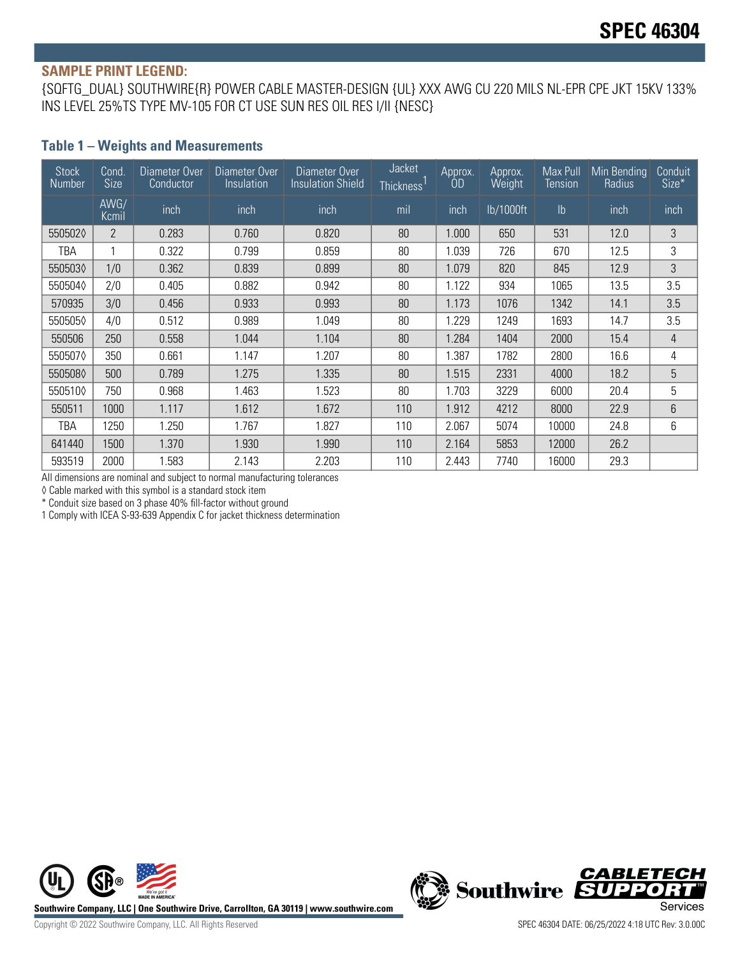#### **SAMPLE PRINT LEGEND:**

{SQFTG\_DUAL} SOUTHWIRE{R} POWER CABLE MASTER-DESIGN {UL} XXX AWG CU 220 MILS NL-EPR CPE JKT 15KV 133% INS LEVEL 25%TS TYPE MV-105 FOR CT USE SUN RES OIL RES I/II {NESC}

#### **Table 1 – Weights and Measurements**

| <b>Stock</b><br><b>Number</b> | Cond.<br><b>Size</b> | Diameter Over<br>Conductor | Diameter Over<br>Insulation | Diameter Over<br><b>Insulation Shield</b> | Jacket<br>Thickness <sup>1</sup> | Approx.<br><b>OD</b> | Approx.<br>Weight | Max Pull<br><b>Tension</b> | Min Bending<br>Radius | Conduit<br>Size* |
|-------------------------------|----------------------|----------------------------|-----------------------------|-------------------------------------------|----------------------------------|----------------------|-------------------|----------------------------|-----------------------|------------------|
|                               | AWG/<br>Kcmil        | inch                       | inch                        | inch                                      | mil                              | inch                 | lb/1000ft         | I <sub>b</sub>             | inch                  | inch             |
| 5505020                       | $\overline{2}$       | 0.283                      | 0.760                       | 0.820                                     | 80                               | 1.000                | 650               | 531                        | 12.0                  | 3                |
| TBA                           | 1                    | 0.322                      | 0.799                       | 0.859                                     | 80                               | 1.039                | 726               | 670                        | 12.5                  | 3                |
| 5505030                       | 1/0                  | 0.362                      | 0.839                       | 80<br>1.079<br>820<br>0.899<br>845        |                                  | 12.9                 | 3                 |                            |                       |                  |
| 5505040                       | 2/0                  | 0.405                      | 0.882                       | 0.942                                     | 80                               | 1.122                | 934               | 1065                       | 13.5                  | 3.5              |
| 570935                        | 3/0                  | 0.456                      | 0.933                       | 0.993                                     | 80                               | 1.173                | 1076              | 1342                       | 14.1                  | 3.5              |
| 550505♦                       | 4/0                  | 0.512                      | 0.989                       | 1.049                                     | 80                               | 1.229                | 1249              | 1693                       | 14.7                  | 3.5              |
| 550506                        | 250                  | 0.558                      | 1.044                       | 1.104                                     | 80                               | 1.284                | 1404              | 2000                       | 15.4                  | 4                |
| 550507♦                       | 350                  | 0.661                      | 1.147                       | 1.207                                     | 80                               | 1.387                | 1782              | 2800                       | 16.6                  | 4                |
| 5505080                       | 500                  | 0.789                      | 1.275                       | 1.335                                     | 80                               | 1.515                | 2331              | 4000                       | 18.2                  | 5                |
| 5505100                       | 750                  | 0.968                      | 1.463                       | 1.523                                     | 80                               | 1.703                | 3229              | 6000                       | 20.4                  | 5                |
| 550511                        | 1000                 | 1.117                      | 1.612                       | 1.672                                     | 110                              | 1.912                | 4212              | 8000                       | 22.9                  | 6                |
| TBA                           | 1250                 | 1.250                      | 1.767                       | 1.827                                     | 110                              | 2.067                | 5074              | 10000                      | 24.8                  | 6                |
| 641440                        | 1500                 | 1.370                      | 1.930                       | 1.990                                     | 110                              | 2.164                | 5853              | 12000                      | 26.2                  |                  |
| 593519                        | 2000                 | 1.583                      | 2.143                       | 2.203                                     | 110                              | 2.443                | 7740              | 16000                      | 29.3                  |                  |

All dimensions are nominal and subject to normal manufacturing tolerances

◊ Cable marked with this symbol is a standard stock item

\* Conduit size based on 3 phase 40% fill-factor without ground

1 Comply with ICEA S-93-639 Appendix C for jacket thickness determination